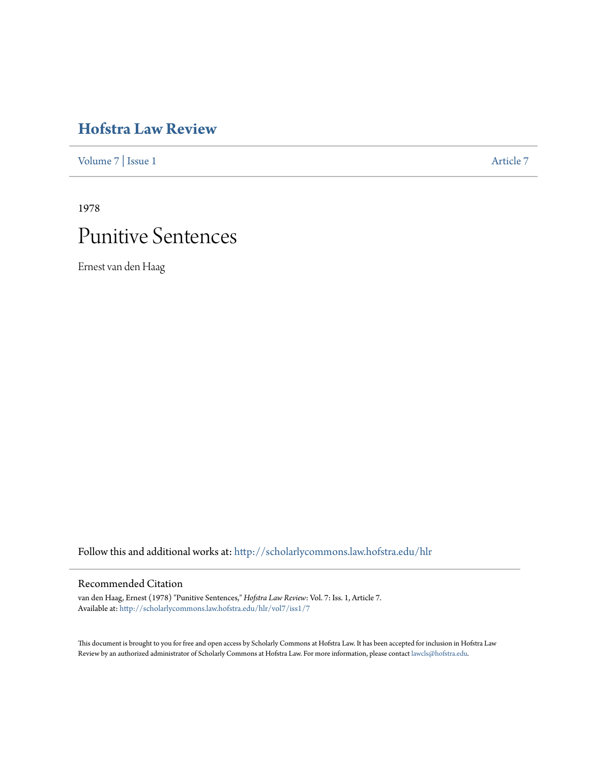# **[Hofstra Law Review](http://scholarlycommons.law.hofstra.edu/hlr?utm_source=scholarlycommons.law.hofstra.edu%2Fhlr%2Fvol7%2Fiss1%2F7&utm_medium=PDF&utm_campaign=PDFCoverPages)**

[Volume 7](http://scholarlycommons.law.hofstra.edu/hlr/vol7?utm_source=scholarlycommons.law.hofstra.edu%2Fhlr%2Fvol7%2Fiss1%2F7&utm_medium=PDF&utm_campaign=PDFCoverPages) | [Issue 1](http://scholarlycommons.law.hofstra.edu/hlr/vol7/iss1?utm_source=scholarlycommons.law.hofstra.edu%2Fhlr%2Fvol7%2Fiss1%2F7&utm_medium=PDF&utm_campaign=PDFCoverPages) [Article 7](http://scholarlycommons.law.hofstra.edu/hlr/vol7/iss1/7?utm_source=scholarlycommons.law.hofstra.edu%2Fhlr%2Fvol7%2Fiss1%2F7&utm_medium=PDF&utm_campaign=PDFCoverPages)

1978

# Punitive Sentences

Ernest van den Haag

Follow this and additional works at: [http://scholarlycommons.law.hofstra.edu/hlr](http://scholarlycommons.law.hofstra.edu/hlr?utm_source=scholarlycommons.law.hofstra.edu%2Fhlr%2Fvol7%2Fiss1%2F7&utm_medium=PDF&utm_campaign=PDFCoverPages)

# Recommended Citation

van den Haag, Ernest (1978) "Punitive Sentences," *Hofstra Law Review*: Vol. 7: Iss. 1, Article 7. Available at: [http://scholarlycommons.law.hofstra.edu/hlr/vol7/iss1/7](http://scholarlycommons.law.hofstra.edu/hlr/vol7/iss1/7?utm_source=scholarlycommons.law.hofstra.edu%2Fhlr%2Fvol7%2Fiss1%2F7&utm_medium=PDF&utm_campaign=PDFCoverPages)

This document is brought to you for free and open access by Scholarly Commons at Hofstra Law. It has been accepted for inclusion in Hofstra Law Review by an authorized administrator of Scholarly Commons at Hofstra Law. For more information, please contact [lawcls@hofstra.edu](mailto:lawcls@hofstra.edu).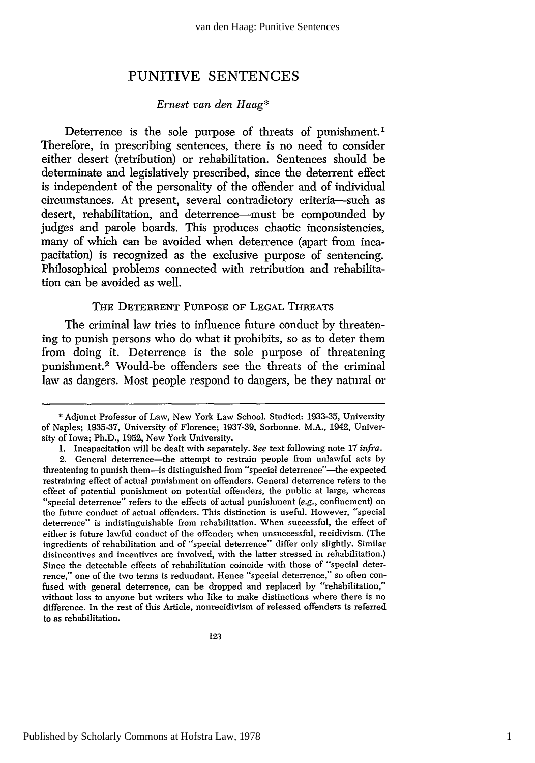# PUNITIVE **SENTENCES**

# *Ernest van den Haag\**

Deterrence is the sole purpose of threats of punishment.<sup>1</sup> Therefore, in prescribing sentences, there is no need to consider either desert (retribution) or rehabilitation. Sentences should be determinate and legislatively prescribed, since the deterrent effect is independent of the personality of the offender and of individual circumstances. At present, several contradictory criteria-such as desert, rehabilitation, and deterrence-must be compounded **by** judges and parole boards. This produces chaotic inconsistencies, many of which can be avoided when deterrence (apart from incapacitation) is recognized as the exclusive purpose of sentencing. Philosophical problems connected with retribution and rehabilitation can be avoided as well.

#### THE DETERRENT PURPOSE OF LEGAL THREATS

The criminal law tries to influence future conduct by threatening to punish persons who do what it prohibits, so as to deter them from doing it. Deterrence is the sole purpose of threatening punishment.<sup>2</sup> Would-be offenders see the threats of the criminal law as dangers. Most people respond to dangers, be they natural or

<sup>\*</sup> Adjunct Professor of Law, New York Law School. Studied: 1933-35, University of Naples; 1935-37, University of Florence; 1937-39, Sorbonne. M.A., 1942, University of Iowa; Ph.D., 1952, New York University.

**<sup>1.</sup>** Incapacitation will be dealt with separately. *See* text following note 17 *infra.*

<sup>2.</sup> General deterrence-the attempt to restrain people from unlawful acts by threatening to punish them-is distinguished from "special deterrence"-the expected restraining effect of actual punishment on offenders. General deterrence refers to the effect of potential punishment on potential offenders, the public at large, whereas "special deterrence" refers to the effects of actual punishment  $(e.g.,$  confinement) on the future conduct of actual offenders. This distinction is useful. However, "special deterrence" is indistinguishable from rehabilitation. When successful, the effect of either is future lawful conduct of the offender; when unsuccessful, recidivism. (The ingredients of rehabilitation and of "special deterrence" differ only slightly. Similar disincentives and incentives are involved, with the latter stressed in rehabilitation.) Since the detectable effects of rehabilitation coincide with those of "special deterrence," one of the two terms is redundant. Hence "special deterrence," so often confused with general deterrence, can be dropped and replaced by "rehabilitation," without loss to anyone but writers who like to make distinctions where there is no difference. In the rest of this Article, nonrecidivism of released offenders is referred to as rehabilitation.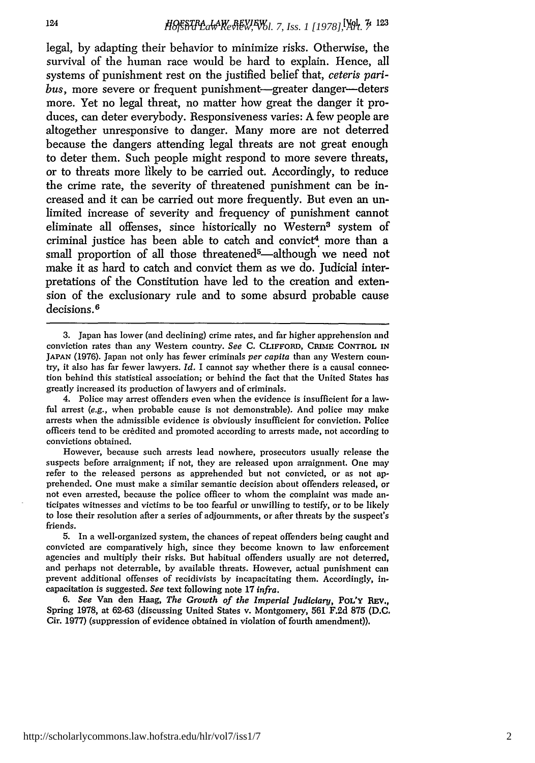legal, **by** adapting their behavior to minimize risks. Otherwise, the survival of the human race would be hard to explain. Hence, all systems of punishment rest on the justified belief that, *ceteris paribus, more severe or frequent punishment-greater danger-deters* more. Yet no legal threat, no matter how great the danger it produces, can deter everybody. Responsiveness varies: **A few** people are altogether unresponsive to danger. Many more are not deterred because the dangers attending legal threats are not great enough to deter them. Such people might respond to more severe threats, or to threats more likely to be carried out. Accordingly, to reduce the crime rate, the severity of threatened punishment can be increased and it can be carried out more frequently. But even an unlimited increase of severity and frequency of punishment cannot eliminate all offenses, since historically no Western<sup>3</sup> system of criminal justice has been able to catch and convict<sup>4</sup> more than a small proportion of all those threatened<sup>5</sup>—although we need not make it as hard to catch and convict them as we do. Judicial interpretations of the Constitution have led to the creation and extension of the exclusionary rule and to some absurd probable cause decisions. <sup>6</sup>

124

http://scholarlycommons.law.hofstra.edu/hlr/vol7/iss1/7

<sup>3.</sup> Japan has lower (and declining) crime rates, and far higher apprehension and conviction rates than any Western country. *See* **C.** CLIFFORD, CRIME CONTROL **IN JAPAN** (1976). Japan not only has fewer criminals *per capita* than any Western country, it also has far fewer lawyers. *Id.* I cannot say whether there is a causal connection behind this statistical association; or behind the fact that the United States has greatly increased its production of lawyers and of criminals.

<sup>4.</sup> Police may arrest offenders even when the evidence is insufficient for a lawful arrest *(e.g.,* when probable cause is not demonstrable). And police may make arrests when the admissible evidence is obviously insufficient for conviction. Police officers tend to be credited and promoted according to arrests made, not according to convictions obtained.

However, because such arrests lead nowhere, prosecutors usually release the suspects before arraignment; if not, they are released upon arraignment. One may refer to the released persons as apprehended but not convicted, or as not apprehended. One must make a similar semantic decision about offenders released, or not even arrested, because the police officer to whom the complaint was made anticipates witnesses and victims to be too fearful or unwilling to testify, or to be likely to lose their resolution after a series of adjournments, or after threats by the suspect's friends.

<sup>5.</sup> In a well-organized system, the chances of repeat offenders being caught and convicted are comparatively high, since they become known to law enforcement agencies and multiply their risks. But habitual offenders usually are not deterred, and perhaps not deterrable, by available threats. However, actual punishment can prevent additional offenses of recidivists by incapacitating them. Accordingly, incapacitation is suggested. *See* text following note 17 *infra.*

*<sup>6.</sup> See* Van den Haag, *The Growth of the Imperial Judiciary,* POL'Y **REv.,** Spring 1978, at 62-63 (discussing United States v. Montgomery, 561 F.2d 875 (D.C. Cir. 1977) (suppression of evidence obtained in violation of fourth amendment)).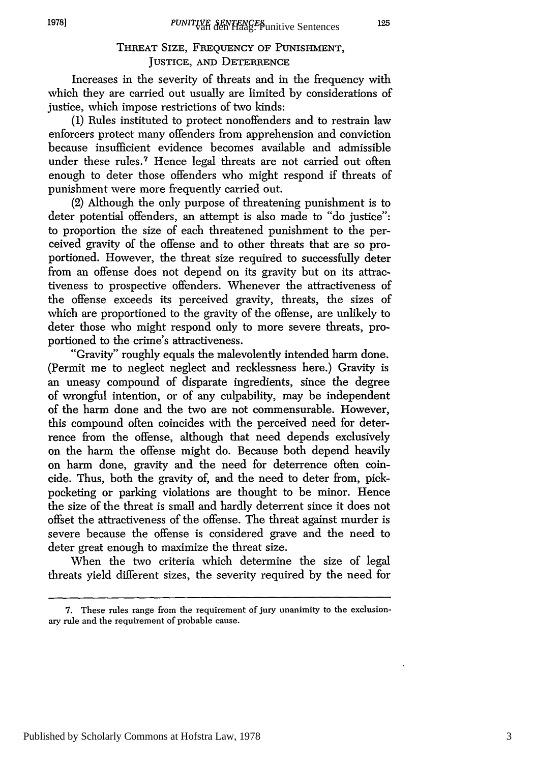125

# THREAT SIZE, FREQUENCY OF PUNISHMENT, JUSTICE, AND DETERRENCE

Increases in the severity of threats and in the frequency with which they are carried out usually are limited by considerations of justice, which impose restrictions of two kinds:

**(1)** Rules instituted to protect nonoffenders and to restrain law enforcers protect many offenders from apprehension and conviction because insufficient evidence becomes available and admissible under these rules.<sup>7</sup> Hence legal threats are not carried out often enough to deter those offenders who might respond if threats of punishment were more frequently carried out.

(2) Although the only purpose of threatening punishment is to deter potential offenders, an attempt is also made to "do justice": to proportion the size of each threatened punishment to the perceived gravity of the offense and to other threats that are so proportioned. However, the threat size required to successfully deter from an offense does not depend on its gravity but on its attractiveness to prospective offenders. Whenever the attractiveness of the offense exceeds its perceived gravity, threats, the sizes of which are proportioned to the gravity of the offense, are unlikely to deter those who might respond only to more severe threats, proportioned to the crime's attractiveness.

"Gravity" roughly equals the malevolently intended harm done. (Permit me to neglect neglect and recklessness here.) Gravity is an uneasy compound of disparate ingredients, since the degree of wrongful intention, or of any culpability, may be independent of the harm done and the two are not commensurable. However, this compound often coincides with the perceived need for deterrence from the offense, although that need depends exclusively on the harm the offense might do. Because both depend heavily on harm done, gravity and the need for deterrence often coincide. Thus, both the gravity of, and the need to deter from, pickpocketing or parking violations are thought to be minor. Hence the size of the threat is small and hardly deterrent since it does not offset the attractiveness of the offense. The threat against murder is severe because the offense is considered grave and the need to deter great enough to maximize the threat size.

When the two criteria which determine the size of legal threats yield different sizes, the severity required by the need for

Published by Scholarly Commons at Hofstra Law, 1978

<sup>7.</sup> These rules range from the requirement of jury unanimity to the exclusionary rule and the requirement of probable cause.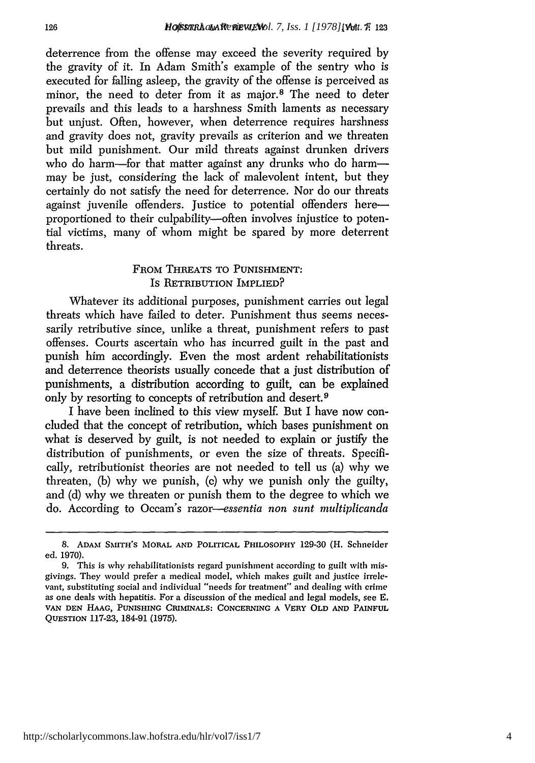deterrence from the offense may exceed the severity required by the gravity of it. In Adam Smith's example of the sentry who is executed for falling asleep, the gravity of the offense is perceived as minor, the need to deter from it as major.<sup>8</sup> The need to deter prevails and this leads to a harshness Smith laments as necessary but unjust. Often, however, when deterrence requires harshness and gravity does not, gravity prevails as criterion and we threaten but mild punishment. Our mild threats against drunken drivers who do harm-for that matter against any drunks who do harmmay be just, considering the lack of malevolent intent, but they certainly do not satisfy the need for deterrence. Nor do our threats against juvenile offenders. Justice to potential offenders hereproportioned to their culpability-often involves injustice to potential victims, many of whom might be spared by more deterrent threats.

# FROM THREATS TO PUNISHMENT: Is RETRIBUTION IMPLIED?

Whatever its additional purposes, punishment carries out legal threats which have failed to deter. Punishment thus seems necessarily retributive since, unlike a threat, punishment refers to past offenses. Courts ascertain who has incurred guilt in the past and punish him accordingly. Even the most ardent rehabilitationists and deterrence theorists usually concede that a just distribution of punishments, a distribution according to guilt, can be explained only by resorting to concepts of retribution and desert.<sup>9</sup>

I have been inclined to this view myself. But I have now concluded that the concept of retribution, which bases punishment on what is deserved by guilt, is not needed to explain or justify the distribution of punishments, or even the size of threats. Specifically, retributionist theories are not needed to tell us (a) why we threaten, (b) why we punish, (c) why we punish only the guilty, and (d) why we threaten or punish them to the degree to which we do. According to Occam's *razor--essentia non sunt multiplicanda*

**<sup>8.</sup> ADAM** SMITH'S MORAL **AND** POLITICAL PHILOSOPHY 129-30 (H. Schneider ed. 1970).

<sup>9.</sup> This is why rehabilitationists regard punishment according to guilt with misgivings. They would prefer a medical model, which makes guilt and justice irrelevant, substituting social and individual "needs for treatment" and dealing with crime as one deals with hepatitis. For a discussion of the medical and legal models, see E. **VAN DEN HAAG, PUNISHING CRIMINALS: CONCERNING A VERY** OLD **AND PAINFUL QUESTION 117-23,** 184-91 **(1975).**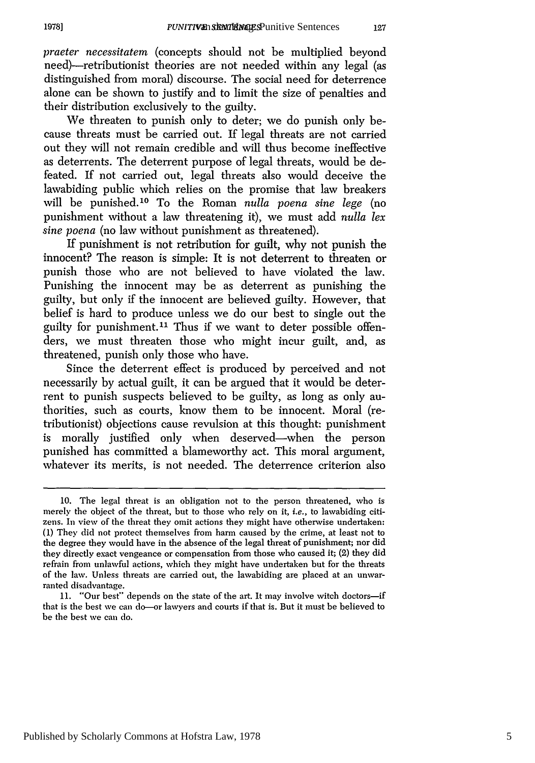*praeter necessitatem* (concepts should not be multiplied beyond need)—retributionist theories are not needed within any legal (as distinguished from moral) discourse. The social need for deterrence alone can be shown to justify and to limit the size of penalties and their distribution exclusively to the guilty.

We threaten to punish only to deter; we do punish only because threats must be carried out. If legal threats are not carried out they will not remain credible and will thus become ineffective as deterrents. The deterrent purpose of legal threats, would be defeated. If not carried out, legal threats also would deceive the lawabiding public which relies on the promise that law breakers will be punished. 0 To the Roman *nulla poena sine lege* (no punishment without a law threatening it), we must add *nulla lex sine poena* (no law without punishment as threatened).

If punishment is not retribution for guilt, why not punish the innocent? The reason is simple: It is not deterrent to threaten or punish those who are not believed to have violated the law. Punishing the innocent may be as deterrent as punishing the guilty, but only if the innocent are believed guilty. However, that belief is hard to produce unless we do our best to single out the guilty for punishment.<sup>11</sup> Thus if we want to deter possible offenders, we must threaten those who might incur guilt, and, as threatened, punish only those who have.

Since the deterrent effect is produced by perceived and not necessarily by actual guilt, it can be argued that it would be deterrent to punish suspects believed to be guilty, as long as only authorities, such as courts, know them to be innocent. Moral (retributionist) objections cause revulsion at this thought: punishment is morally justified only when deserved-when the person punished has committed a blameworthy act. This moral argument, whatever its merits, is not needed. The deterrence criterion also

127

<sup>10.</sup> The legal threat is an obligation not to the person threatened, who is merely the object of the threat, but to those who rely on it, *i.e.*, to lawabiding citizens. In view of the threat they omit actions they might have otherwise undertaken: **(1)** They did not protect themselves from harm caused by the crime, at least not to the degree they would have in the absence of the legal threat of punishment; nor did they directly exact vengeance or compensation from those who caused it; (2) they did refrain from unlawful actions, which they might have undertaken but for the threats of the law. Unless threats are carried out, the lawabiding are placed at an unwarranted disadvantage.

<sup>11. &</sup>quot;Our best" depends on the state of the art. It may involve witch doctors-if that is the best we can do-or lawyers and courts if that is. But it must be believed to be the best we can do.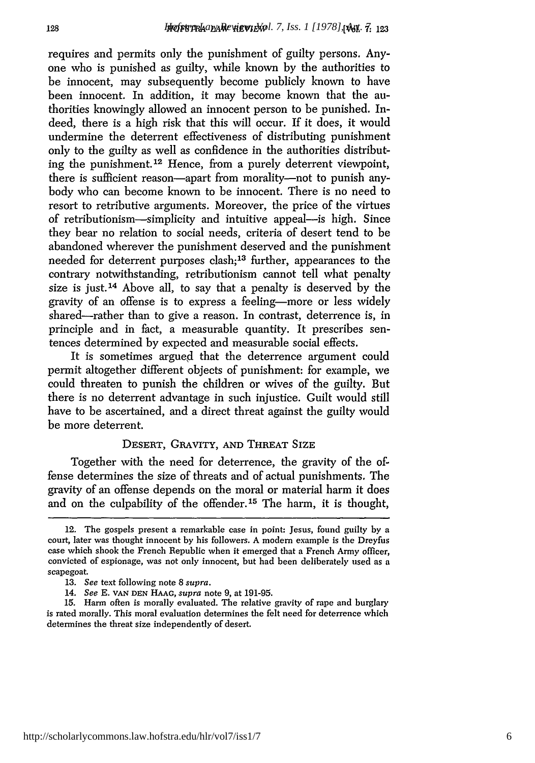requires and permits only the punishment of guilty persons. Anyone who is punished as guilty, while known by the authorities to be innocent, may subsequently become publicly known to have been innocent. In addition, it may become known that the authorities knowingly allowed an innocent person to be punished. Indeed, there is a high risk that this will occur. If it does, it would undermine the deterrent effectiveness of distributing punishment only to the guilty as well as confidence in the authorities distributing the punishment. 12 Hence, from a purely deterrent viewpoint, there is sufficient reason—apart from morality—not to punish anybody who can become known to be innocent. There is no need to resort to retributive arguments. Moreover, the price of the virtues of retributionism-simplicity and intuitive appeal-is high. Since they bear no relation to social needs, criteria of desert tend to be abandoned wherever the punishment deserved and the punishment needed for deterrent purposes clash;<sup>13</sup> further, appearances to the contrary notwithstanding, retributionism cannot tell what penalty size is just.<sup>14</sup> Above all, to say that a penalty is deserved by the gravity of an offense is to express a feeling-more or less widely shared-rather than to give a reason. In contrast, deterrence is, in principle and in fact, a measurable quantity. It prescribes sentences determined by expected and measurable social effects.

It is sometimes argued that the deterrence argument could permit altogether different objects of punishment: for example, we could threaten to punish the children or wives of the guilty. But there is no deterrent advantage in such injustice. Guilt would still have to be ascertained, and a direct threat against the guilty would be more deterrent.

# DESERT, GRAVITY, AND THREAT SIZE

Together with the need for deterrence, the gravity of the offense determines the size of threats and of actual punishments. The gravity of an offense depends on the moral or material harm it does and on the culpability of the offender. 15 The harm, it is thought,

<sup>12.</sup> The gospels present a remarkable case in point: Jesus, found guilty by a court, later was thought innocent by his followers. A modem example is the Dreyfus case which shook the French Republic when it emerged that a French Army officer, convicted of espionage, was not only innocent, but had been deliberately used as a scapegoat.

<sup>13.</sup> *See* text following note 8 supra.

*<sup>14.</sup> See* E. **VAN DEN HAAG,** *supra* note 9, at 191-95.

<sup>15.</sup> Harm often is morally evaluated. The relative gravity of rape and burglary is rated morally. This moral evaluation determines the felt need for deterrence which determines the threat size independently of desert.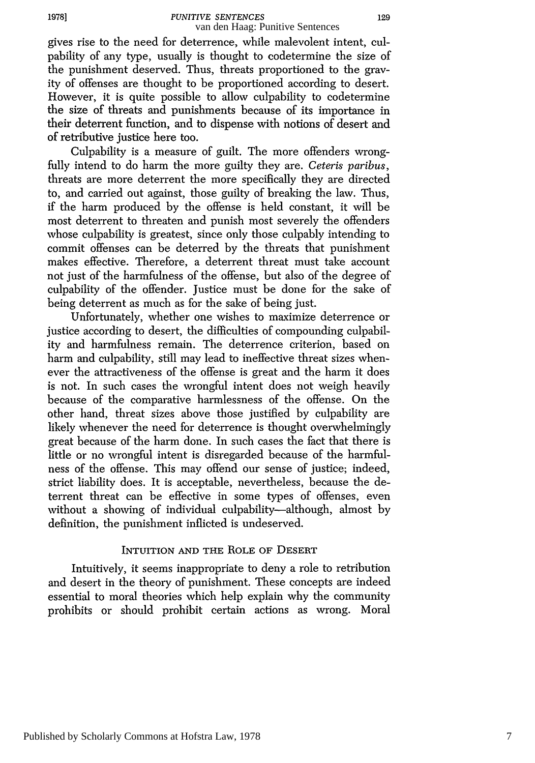gives rise to the need for deterrence, while malevolent intent, culpability of any type, usually is thought to codetermine the size of the punishment deserved. Thus, threats proportioned to the gravity of offenses are thought to be proportioned according to desert. However, it is quite possible to allow culpability to codetermine the size of threats and punishments because of its importance in their deterrent function, and to dispense with notions of desert and of retributive justice here too.

Culpability is a measure of guilt. The more offenders wrongfully intend to do harm the more guilty they are. *Ceteris paribus,* threats are more deterrent the more specifically they are directed to, and carried out against, those guilty of breaking the law. Thus, if the harm produced by the offense is held constant, it will be most deterrent to threaten and punish most severely the offenders whose culpability is greatest, since only those culpably intending to commit offenses can be deterred by the threats that punishment makes effective. Therefore, a deterrent threat must take account not just of the harmfulness of the offense, but also of the degree of culpability of the offender. Justice must be done for the sake of being deterrent as much as for the sake of being just.

Unfortunately, whether one wishes to maximize deterrence or justice according to desert, the difficulties of compounding culpability and harmfulness remain. The deterrence criterion, based on harm and culpability, still may lead to ineffective threat sizes whenever the attractiveness of the offense is great and the harm it does is not. In such cases the wrongful intent does not weigh heavily because of the comparative harmlessness of the offense. On the other hand, threat sizes above those justified by culpability are likely whenever the need for deterrence is thought overwhelmingly great because of the harm done. In such cases the fact that there is little or no wrongful intent is disregarded because of the harmfulness of the offense. This may offend our sense of justice; indeed, strict liability does. It is acceptable, nevertheless, because the deterrent threat can be effective in some types of offenses, even without a showing of individual culpability—although, almost by definition, the punishment inflicted is undeserved.

#### INTUITION **AND** THE ROLE OF DESERT

Intuitively, it seems inappropriate to deny a role to retribution and desert in the theory of punishment. These concepts are indeed essential to moral theories which help explain why the community prohibits or should prohibit certain actions as wrong. Moral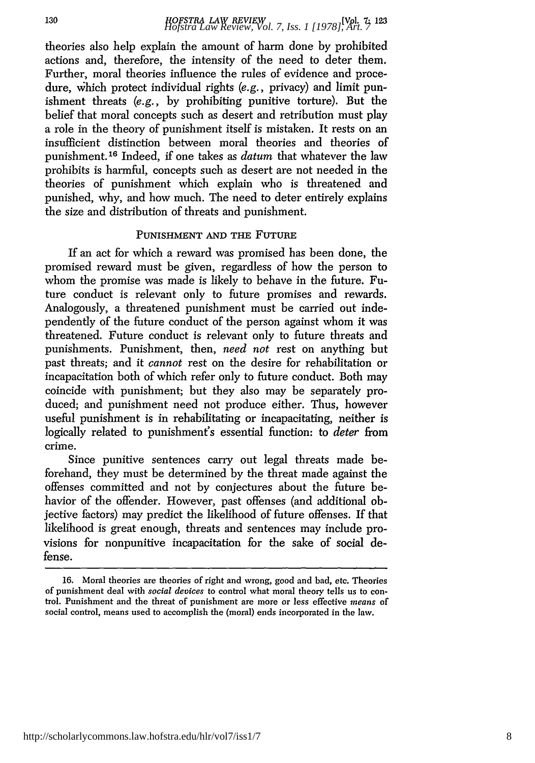theories also help explain the amount of harm done by prohibited actions and, therefore, the intensity of the need to deter them. Further, moral theories influence the rules of evidence and procedure, which protect individual rights (e.g., privacy) and limit punishment threats *(e.g.,* by prohibiting punitive torture). But the belief that moral concepts such as desert and retribution must play a role in the theory of punishment itself is mistaken. It rests on an insufficient distinction between moral theories and theories of punishment. 16 Indeed, if one takes as *datum* that whatever the law prohibits is harmful, concepts such as desert are not needed in the theories of punishment which explain who is threatened and punished, why, and how much. The need to deter entirely explains the size and distribution of threats and punishment.

# PUNISHMENT **AND** THE FUTURE

If an act for which a reward was promised has been done, the promised reward must be given, regardless of how the person to whom the promise was made is likely to behave in the future. Future conduct is relevant only to future promises and rewards. Analogously, a threatened punishment must be carried out independently of the future conduct of the person against whom it was threatened. Future conduct is relevant only to future threats and punishments. Punishment, then, *need not* rest on anything but past threats; and it *cannot* rest on the desire for rehabilitation or incapacitation both of which refer only to future conduct. Both may coincide with punishment; but they also may be separately produced; and punishment need not produce either. Thus, however useful punishment is in rehabilitating or incapacitating, neither is logically related to punishment's essential function: to *deter* from crime.

Since punitive sentences carry out legal threats made beforehand, they must be determined by the threat made against the offenses committed and not by conjectures about the future behavior of the offender. However, past offenses (and additional objective factors) may predict the likelihood of future offenses. If that likelihood is great enough, threats and sentences may include provisions for nonpunitive incapacitation for the sake of social defense.

<sup>16.</sup> Moral theories are theories of right and wrong, good and bad, etc. Theories of punishment deal with *social devices* to control what moral theory tells us to control. Punishment and the threat of punishment are more or less effective *means* of social control, means used to accomplish the (moral) ends incorporated in the law.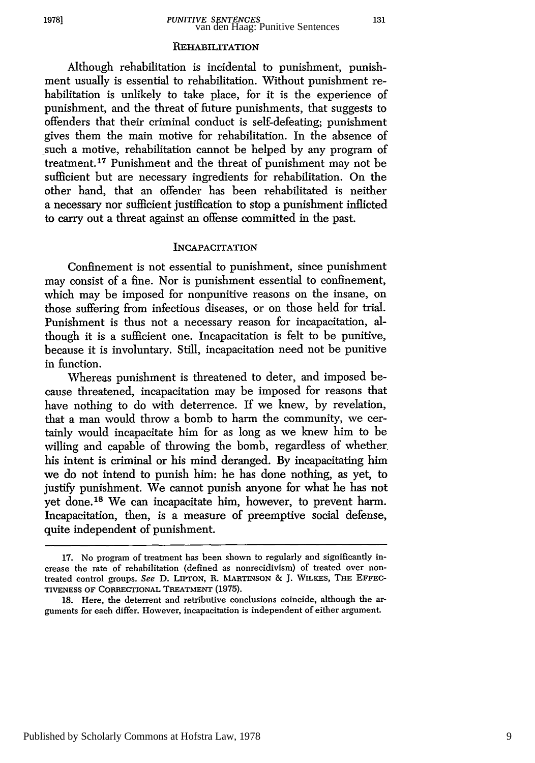#### **REHABILITATION**

Although rehabilitation is incidental to punishment, punishment usually is essential to rehabilitation. Without punishment rehabilitation is unlikely to take place, for it is the experience of punishment, and the threat of future punishments, that suggests to offenders that their criminal conduct is self-defeating; punishment gives them the main motive for rehabilitation. In the absence of such a motive, rehabilitation cannot be helped by any program of treatment.<sup>17</sup> Punishment and the threat of punishment may not be sufficient but are necessary ingredients for rehabilitation. On the other hand, that an offender has been rehabilitated is neither a necessary nor sufficient justification to stop a punishment inflicted to carry out a threat against an offense committed in the past.

#### INCAPACITATION

Confinement is not essential to punishment, since punishment may consist of a fine. Nor is punishment essential to confinement, which may be imposed for nonpunitive reasons on the insane, on those suffering from infectious diseases, or on those held for trial. Punishment is thus not a necessary reason for incapacitation, although it is a sufficient one. Incapacitation is felt to be punitive, because it is involuntary. Still, incapacitation need not be punitive in function.

Whereas punishment is threatened to deter, and imposed because threatened, incapacitation may be imposed for reasons that have nothing to do with deterrence. If we knew, by revelation, that a man would throw a bomb to harm the community, we certainly would incapacitate him for as long as we knew him to be willing and capable of throwing the bomb, regardless of whether his intent is criminal or his mind deranged. By incapacitating him we do not intend to punish him: he has done nothing, as yet, to justify punishment. We cannot punish anyone for what he has not yet done.<sup>18</sup> We can incapacitate him, however, to prevent harm. Incapacitation, then, is a measure of preemptive social defense, quite independent of punishment.

<sup>17.</sup> No program of treatment has been shown to regularly and significantly increase the rate of rehabilitation (defined as nonrecidivism) of treated over nontreated control groups. *See* D. **LIPTON,** R. **MARTINSON** & **J.** WILKES, **THE EFFEC-TIVENESS** OF CORRECTIONAL TREATMENT (1975).

<sup>18.</sup> Here, the deterrent and retributive conclusions coincide, although the arguments for each differ. However, incapacitation is independent of either argument.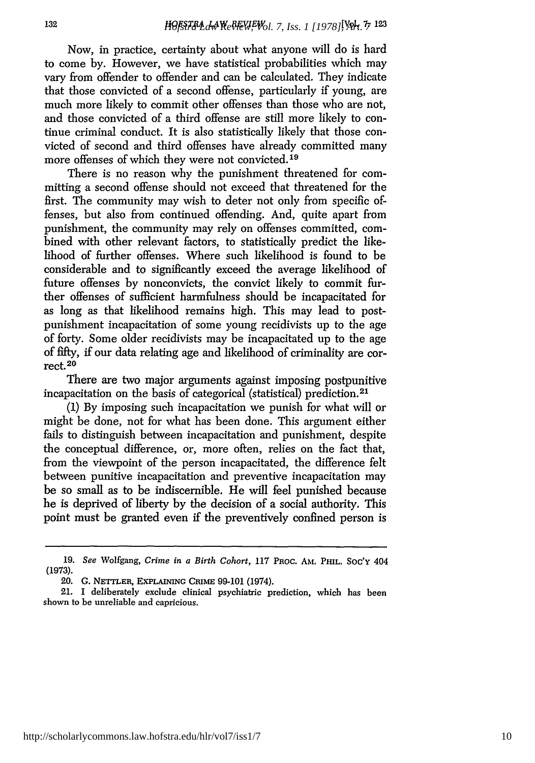Now, in practice, certainty about what anyone will do is hard to come by. However, we have statistical probabilities which may vary from offender to offender and can be calculated. They indicate that those convicted of a second offense, particularly if young, are much more likely to commit other offenses than those who are not, and those convicted of a third offense are still more likely to continue criminal conduct. It is also statistically likely that those convicted of second and third offenses have already committed many more offenses of which they were not convicted. **19**

There is no reason why the punishment threatened for committing a second offense should not exceed that threatened for the first. The community may wish to deter not only from specific offenses, but also from continued offending. And, quite apart from punishment, the community may rely on offenses committed, combined with other relevant factors, to statistically predict the likelihood of further offenses. Where such likelihood is found to be considerable and to significantly exceed the average likelihood of future offenses by nonconvicts, the convict likely to commit further offenses of sufficient harmfulness should be incapacitated for as long as that likelihood remains high. This may lead to postpunishment incapacitation of some young recidivists up to the age of forty. Some older recidivists may be incapacitated up to the age of fifty, if our data relating age and likelihood of criminality are correct. 20

There are two major arguments against imposing postpunitive incapacitation on the basis of categorical (statistical) prediction.<sup>21</sup>

(1) By imposing such incapacitation we punish for what will or might be done, not for what has been done. This argument either fails to distinguish between incapacitation and punishment, despite the conceptual difference, or, more often, relies on the fact that, from the viewpoint of the person incapacitated, the difference felt between punitive incapacitation and preventive incapacitation may be so small as to be indiscernible. He will feel punished because he is deprived of liberty by the decision of a social authority. This point must be granted even if the preventively confined person is

**<sup>19.</sup>** *See* Wolfgang, *Crime in a Birth Cohort,* 117 PRoc. **AM.** PHIL. **Soc'y** 404 **(1973).**

<sup>20.</sup> **G. NETTLER, EXPLAINING** CRIME 99-101 (1974).

<sup>21.</sup> I deliberately exclude clinical psychiatric prediction, which has been shown to be unreliable and capricious.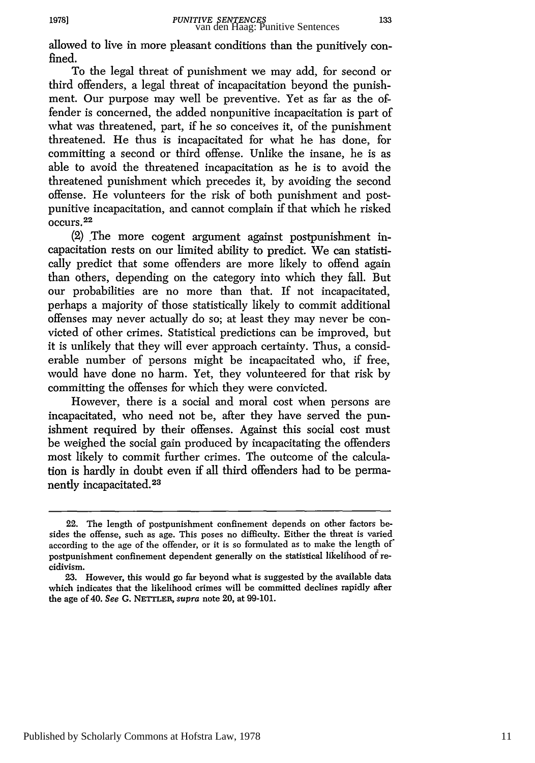allowed to live in more pleasant conditions than the punitively confined.

To the legal threat of punishment we may add, for second or third offenders, a legal threat of incapacitation beyond the punishment. Our purpose may well be preventive. Yet as far as the offender is concerned, the added nonpunitive incapacitation is part of what was threatened, part, if he so conceives it, of the punishment threatened. He thus is incapacitated for what he has done, for committing a second or third offense. Unlike the insane, he is as able to avoid the threatened incapacitation as he is to avoid the threatened punishment which precedes it, by avoiding the second offense. He volunteers for the risk of both punishment and postpunitive incapacitation, and cannot complain if that which he risked occurs.<sup>22</sup>

(2) The more cogent argument against postpunishment incapacitation rests on our limited ability to predict. We can statistically predict that some offenders are more likely to offend again than others, depending on the category into which they fall. But our probabilities are no more than that. If not incapacitated, perhaps a majority of those statistically likely to commit additional offenses may never actually do so; at least they may never be convicted of other crimes. Statistical predictions can be improved, but it is unlikely that they will ever approach certainty. Thus, a considerable number of persons might be incapacitated who, if free, would have done no harm. Yet, they volunteered for that risk by committing the offenses for which they were convicted.

However, there is a social and moral cost when persons are incapacitated, who need not be, after they have served the punishment required by their offenses. Against this social cost must be weighed the social gain produced by incapacitating the offenders most likely to commit further crimes. The outcome of the calculation is hardly in doubt even if all third offenders had to be permanently incapacitated. <sup>23</sup>

**1978]**

<sup>22.</sup> The length of postpunishment confinement depends on other factors besides the offense, such as age. This poses no difficulty. Either the threat is varied according to the age of the offender, or it is so formulated as to make the length of' postpunishment confinement dependent generally on the statistical likelihood of recidivism.

<sup>23.</sup> However, this would go far beyond what is suggested by the available data which indicates that the likelihood crimes will be committed declines rapidly after the age of 40. See G. *NETTLER,* supra note 20, at 99-101.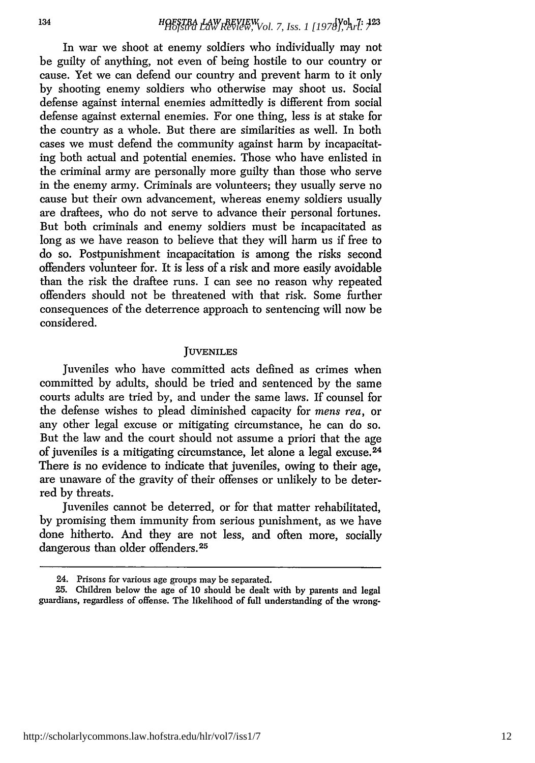In war we shoot at enemy soldiers who individually may not be guilty of anything, not even of being hostile to our country or cause. Yet we can defend our country and prevent harm to it only by shooting enemy soldiers who otherwise may shoot us. Social defense against internal enemies admittedly is different from social defense against external enemies. For one thing, less is at stake for the country as a whole. But there are similarities as well. In both cases we must defend the community against harm by incapacitating both actual and potential enemies. Those who have enlisted in the criminal army are personally more guilty than those who serve in the enemy army. Criminals are volunteers; they usually serve no cause but their own advancement, whereas enemy soldiers usually are draftees, who do not serve to advance their personal fortunes. But both criminals and enemy soldiers must be incapacitated as long as we have reason to believe that they will harm us if free to do so. Postpunishment incapacitation is among the risks second offenders volunteer for. It is less of a risk and more easily avoidable than the risk the draftee runs. I can see no reason why repeated offenders should not be threatened with that risk. Some further consequences of the deterrence approach to sentencing will now be considered.

#### **JUVENILES**

Juveniles who have committed acts defined as crimes when committed by adults, should be tried and sentenced by the same courts adults are tried by, and under the same laws. If counsel for the defense wishes to plead diminished capacity for *mens rea,* or any other legal excuse or mitigating circumstance, he can do so. But the law and the court should not assume a priori that the age of juveniles is a mitigating circumstance, let alone a legal excuse.<sup>24</sup> There is no evidence to indicate that juveniles, owing to their age, are unaware of the gravity of their offenses or unlikely to be deterred by threats.

Juveniles cannot be deterred, or for that matter rehabilitated, by promising them immunity from serious punishment, as we have done hitherto. And they are not less, and often more, socially dangerous than older offenders.<sup>25</sup>

<sup>24.</sup> Prisons for various age groups may be separated.

<sup>25.</sup> Children below the age of 10 should be dealt with by parents and legal guardians, regardless of offense. The likelihood of full understanding of the wrong-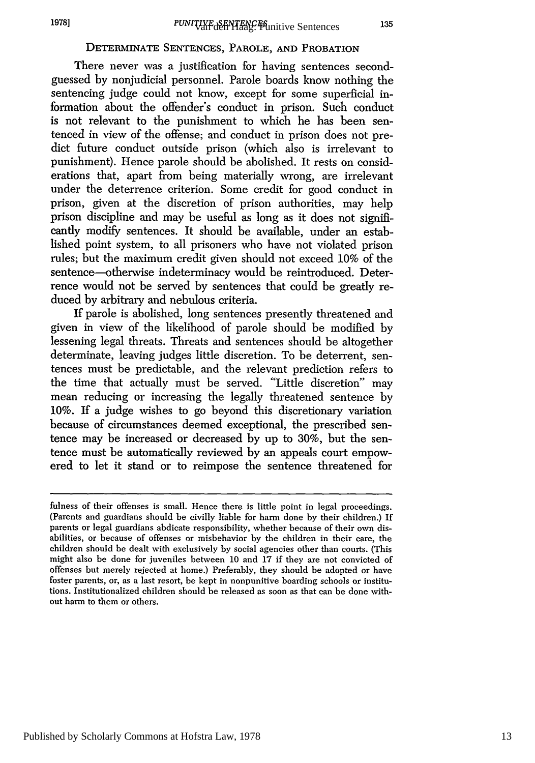# DETERMINATE **SENTENCES,** PAROLE, **AND** PROBATION

There never was a justification for having sentences secondguessed by nonjudicial personnel. Parole boards know nothing the sentencing judge could not know, except for some superficial information about the offender's conduct in prison. Such conduct is not relevant to the punishment to which he has been sentenced in view of the offense; and conduct in prison does not predict future conduct outside prison (which also is irrelevant to punishment). Hence parole should be abolished. It rests on considerations that, apart from being materially wrong, are irrelevant under the deterrence criterion. Some credit for good conduct in prison, given at the discretion of prison authorities, may help prison discipline and may be useful as long as it does not significantly modify sentences. It should be available, under an established point system, to all prisoners who have not violated prison rules; but the maximum credit given should not exceed 10% of the sentence-otherwise indeterminacy would be reintroduced. Deterrence would not be served by sentences that could be greatly reduced by arbitrary and nebulous criteria.

If parole is abolished, long sentences presently threatened and given in view of the likelihood of parole should be modified by lessening legal threats. Threats and sentences should be altogether determinate, leaving judges little discretion. To be deterrent, sentences must be predictable, and the relevant prediction refers to the time that actually must be served. "Little discretion" may mean reducing or increasing the legally threatened sentence by 10%. If a judge wishes to go beyond this discretionary variation because of circumstances deemed exceptional, the prescribed sentence may be increased or decreased by up to 30%, but the sentence must be automatically reviewed by an appeals court empowered to let it stand or to reimpose the sentence threatened for

fulness of their offenses is small. Hence there is little point in legal proceedings. (Parents and guardians should be civilly liable for harm done by their children.) If parents or legal guardians abdicate responsibility, whether because of their own disabilities, or because of offenses or misbehavior by the children in their care, the children should be dealt with exclusively by social agencies other than courts. (This might also be done for juveniles between **10** and 17 if they are not convicted of offenses but merely rejected at home.) Preferably, they should be adopted or have foster parents, or, as a last resort, be kept in nonpunitive boarding schools or institutions. Institutionalized children should be released as soon as that can be done without harm to them or others.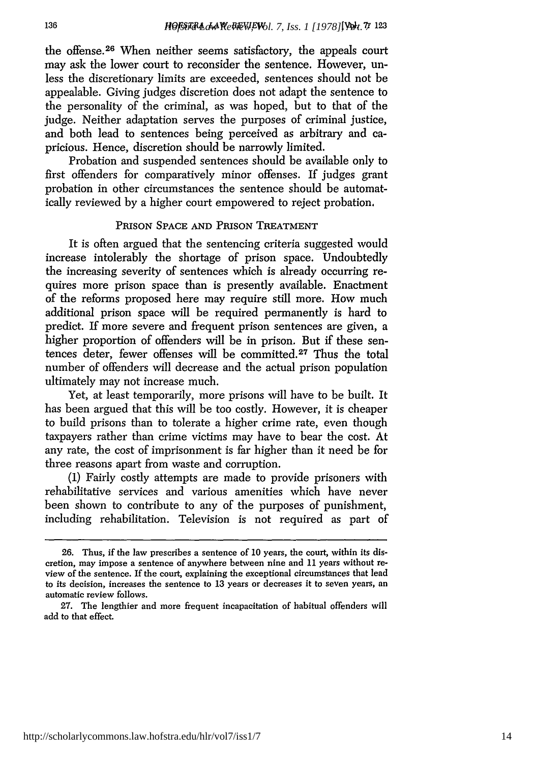the offense. 26 When neither seems satisfactory, the appeals court may ask the lower court to reconsider the sentence. However, unless the discretionary limits are exceeded, sentences should not be appealable. Giving judges discretion does not adapt the sentence to the personality of the criminal, as was hoped, but to that of the judge. Neither adaptation serves the purposes of criminal justice, and both lead to sentences being perceived as arbitrary and capricious. Hence, discretion should be narrowly limited.

Probation and suspended sentences should be available only to first offenders for comparatively minor offenses. If judges grant probation in other circumstances the sentence should be automatically reviewed by a higher court empowered to reject probation.

# PRISON **SPACE AND** PRISON TREATMENT

It is often argued that the sentencing criteria suggested would increase intolerably the shortage of prison space. Undoubtedly the increasing severity of sentences which is already occurring requires more prison space than is presently available. Enactment of the reforms proposed here may require still more. How much additional prison space will be required permanently is hard to predict. If more severe and frequent prison sentences are given, a higher proportion of offenders will be in prison. But if these sentences deter, fewer offenses will be committed.27 Thus the total number of offenders will decrease and the actual prison population ultimately may not increase much.

Yet, at least temporarily, more prisons will have to be built. It has been argued that this will be too costly. However, it is cheaper to build prisons than to tolerate a higher crime rate, even though taxpayers rather than crime victims may have to bear the cost. At any rate, the cost of imprisonment is far higher than it need be for three reasons apart from waste and corruption.

(1) Fairly costly attempts are made to provide prisoners with rehabilitative services and various amenities which have never been shown to contribute to any of the purposes of punishment, including rehabilitation. Television is not required as part of

<sup>26.</sup> Thus, if the law prescribes a sentence of 10 years, the court, within its discretion, may impose a sentence of anywhere between nine and **11** years without review of the sentence. If the court, explaining the exceptional circumstances that lead to its decision, increases the sentence to 13 years or decreases it to seven years, an automatic review follows.

<sup>27.</sup> The lengthier and more frequent incapacitation of habitual offenders will add to that effect.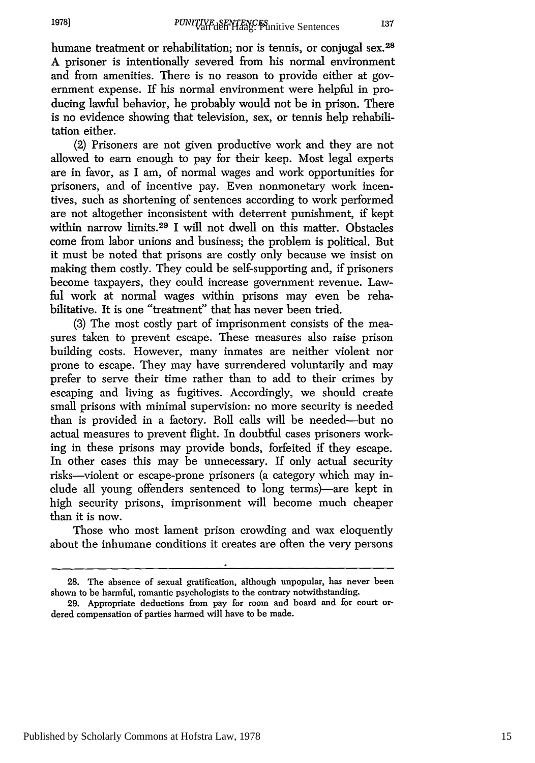humane treatment or rehabilitation; nor is tennis, or conjugal sex.<sup>28</sup> A prisoner is intentionally severed from his normal environment and from amenities. There is no reason to provide either at government expense. If his normal environment were helpful in producing lawful behavior, he probably would not be in prison. There is no evidence showing that television, sex, or tennis help rehabilitation either.

(2) Prisoners are not given productive work and they are not allowed to earn enough to pay for their keep. Most legal experts are in favor, as I am, of normal wages and work opportunities for prisoners, and of incentive pay. Even nonmonetary work incentives, such as shortening of sentences according to work performed are not altogether inconsistent with deterrent punishment, if kept within narrow limits.<sup>29</sup> I will not dwell on this matter. Obstacles come from labor unions and business; the problem is political. But it must be noted that prisons are costly only because we insist on making them costly. They could be self-supporting and, if prisoners become taxpayers, they could increase government revenue. Lawful work at normal wages within prisons may even be rehabilitative. It is one "treatment" that has never been tried.

(3) The most costly part of imprisonment consists of the measures taken to prevent escape. These measures also raise prison building costs. However, many inmates are neither violent nor prone to escape. They may have surrendered voluntarily and may prefer to serve their time rather than to add to their crimes by escaping and living as fugitives. Accordingly, we should create small prisons with minimal supervision: no more security is needed than is provided in a factory. Roll calls will be needed-but no actual measures to prevent flight. In doubtful cases prisoners working in these prisons may provide bonds, forfeited if they escape. In other cases this may be unnecessary. If only actual security risks-violent or escape-prone prisoners (a category which may include all young offenders sentenced to long terms)-are kept in high security prisons, imprisonment will become much cheaper than it is now.

Those who most lament prison crowding and wax eloquently about the inhumane conditions it creates are often the very persons

**<sup>28.</sup>** The absence of sexual gratification, although unpopular, has never been shown to be harmful, romantic psychologists to the contrary notwithstanding.

<sup>29.</sup> Appropriate deductions from pay for room and board and for court ordered compensation of parties harmed will have to be made.